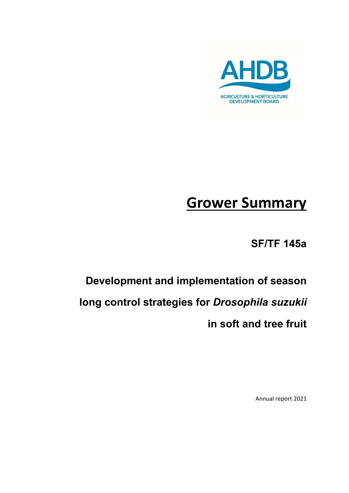

# **Grower Summary**

**SF/TF 145a**

# **Development and implementation of season long control strategies for** *Drosophila suzukii* **in soft and tree fruit**

Annual report 2021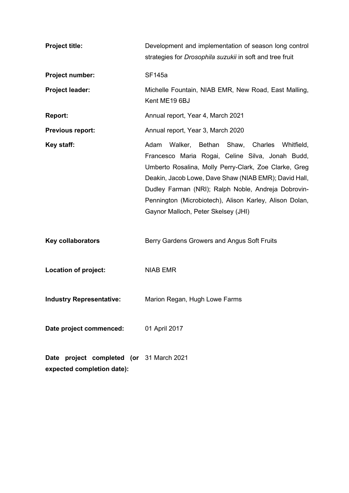| <b>Project title:</b>                                                  | Development and implementation of season long control<br>strategies for Drosophila suzukii in soft and tree fruit                                                                                                                                                                                                                                                                 |
|------------------------------------------------------------------------|-----------------------------------------------------------------------------------------------------------------------------------------------------------------------------------------------------------------------------------------------------------------------------------------------------------------------------------------------------------------------------------|
| Project number:                                                        | <b>SF145a</b>                                                                                                                                                                                                                                                                                                                                                                     |
| Project leader:                                                        | Michelle Fountain, NIAB EMR, New Road, East Malling,<br>Kent ME19 6BJ                                                                                                                                                                                                                                                                                                             |
| <b>Report:</b>                                                         | Annual report, Year 4, March 2021                                                                                                                                                                                                                                                                                                                                                 |
| <b>Previous report:</b>                                                | Annual report, Year 3, March 2020                                                                                                                                                                                                                                                                                                                                                 |
| Key staff:                                                             | Adam<br>Walker, Bethan Shaw,<br>Charles Whitfield,<br>Francesco Maria Rogai, Celine Silva, Jonah Budd,<br>Umberto Rosalina, Molly Perry-Clark, Zoe Clarke, Greg<br>Deakin, Jacob Lowe, Dave Shaw (NIAB EMR); David Hall,<br>Dudley Farman (NRI); Ralph Noble, Andreja Dobrovin-<br>Pennington (Microbiotech), Alison Karley, Alison Dolan,<br>Gaynor Malloch, Peter Skelsey (JHI) |
| <b>Key collaborators</b>                                               | Berry Gardens Growers and Angus Soft Fruits                                                                                                                                                                                                                                                                                                                                       |
| Location of project:                                                   | <b>NIAB EMR</b>                                                                                                                                                                                                                                                                                                                                                                   |
| <b>Industry Representative:</b>                                        | Marion Regan, Hugh Lowe Farms                                                                                                                                                                                                                                                                                                                                                     |
| Date project commenced:                                                | 01 April 2017                                                                                                                                                                                                                                                                                                                                                                     |
| Date project completed (or 31 March 2021<br>expected completion date): |                                                                                                                                                                                                                                                                                                                                                                                   |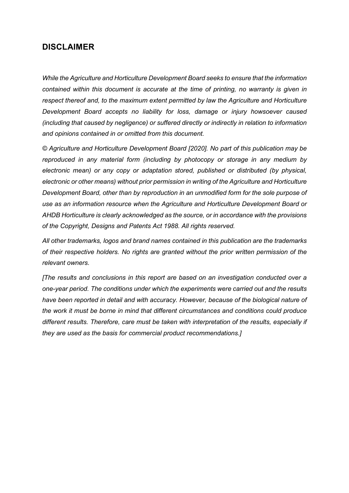#### **DISCLAIMER**

*While the Agriculture and Horticulture Development Board seeks to ensure that the information contained within this document is accurate at the time of printing, no warranty is given in respect thereof and, to the maximum extent permitted by law the Agriculture and Horticulture Development Board accepts no liability for loss, damage or injury howsoever caused (including that caused by negligence) or suffered directly or indirectly in relation to information and opinions contained in or omitted from this document.* 

*© Agriculture and Horticulture Development Board [2020]. No part of this publication may be reproduced in any material form (including by photocopy or storage in any medium by electronic mean) or any copy or adaptation stored, published or distributed (by physical, electronic or other means) without prior permission in writing of the Agriculture and Horticulture Development Board, other than by reproduction in an unmodified form for the sole purpose of use as an information resource when the Agriculture and Horticulture Development Board or AHDB Horticulture is clearly acknowledged as the source, or in accordance with the provisions of the Copyright, Designs and Patents Act 1988. All rights reserved.*

*All other trademarks, logos and brand names contained in this publication are the trademarks of their respective holders. No rights are granted without the prior written permission of the relevant owners.* 

*[The results and conclusions in this report are based on an investigation conducted over a one-year period. The conditions under which the experiments were carried out and the results have been reported in detail and with accuracy. However, because of the biological nature of the work it must be borne in mind that different circumstances and conditions could produce different results. Therefore, care must be taken with interpretation of the results, especially if they are used as the basis for commercial product recommendations.]*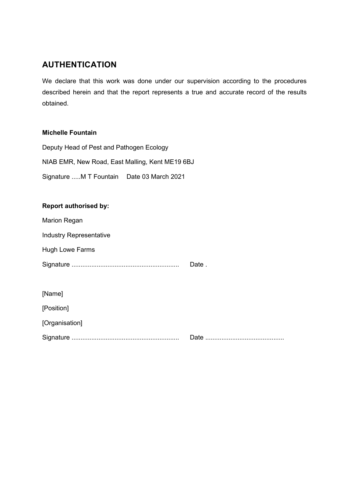### **AUTHENTICATION**

We declare that this work was done under our supervision according to the procedures described herein and that the report represents a true and accurate record of the results obtained.

#### **Michelle Fountain**

Deputy Head of Pest and Pathogen Ecology NIAB EMR, New Road, East Malling, Kent ME19 6BJ Signature .....M T Fountain Date 03 March 2021

#### **Report authorised by:**

Marion Regan

Industry Representative

Hugh Lowe Farms

Signature ............................................................ Date .

[Name]

[Position]

[Organisation]

Signature ............................................................ Date ............................................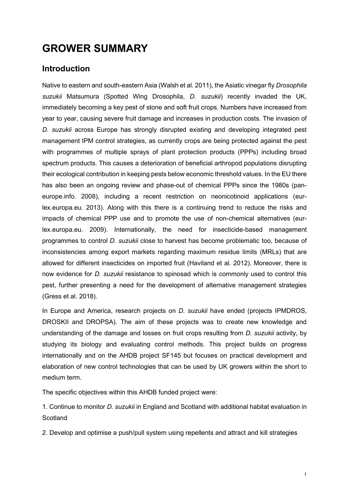## **GROWER SUMMARY**

#### **Introduction**

Native to eastern and south-eastern Asia (Walsh et al. 2011), the Asiatic vinegar fly *Drosophila suzukii* Matsumura (Spotted Wing Drosophila, *D. suzukii*) recently invaded the UK, immediately becoming a key pest of stone and soft fruit crops. Numbers have increased from year to year, causing severe fruit damage and increases in production costs. The invasion of *D. suzukii* across Europe has strongly disrupted existing and developing integrated pest management IPM control strategies, as currently crops are being protected against the pest with programmes of multiple sprays of plant protection products (PPPs) including broad spectrum products. This causes a deterioration of beneficial arthropod populations disrupting their ecological contribution in keeping pests below economic threshold values. In the EU there has also been an ongoing review and phase-out of chemical PPPs since the 1980s (paneurope.info. 2008), including a recent restriction on neonicotinoid applications [\(eur](https://eur-lex.europa.eu/eli/reg_impl/2013/485/oj)[lex.europa.eu.](https://eur-lex.europa.eu/eli/reg_impl/2013/485/oj) 2013). Along with this there is a continuing trend to reduce the risks and impacts of chemical PPP use and to promote the use of non-chemical alternatives (eurlex.europa.eu. 2009). Internationally, the need for insecticide-based management programmes to control *D. suzukii* close to harvest has become problematic too, because of inconsistencies among export markets regarding maximum residue limits (MRLs) that are allowed for different insecticides on imported fruit (Haviland et al. 2012). Moreover, there is now evidence for *D. suzukii* resistance to spinosad which is commonly used to control this pest, further presenting a need for the development of alternative management strategies (Gress et al. 2018).

In Europe and America, research projects on *D. suzukii* have ended (projects IPMDROS, DROSKII and DROPSA). The aim of these projects was to create new knowledge and understanding of the damage and losses on fruit crops resulting from *D. suzukii* activity, by studying its biology and evaluating control methods. This project builds on progress internationally and on the AHDB project SF145 but focuses on practical development and elaboration of new control technologies that can be used by UK growers within the short to medium term.

The specific objectives within this AHDB funded project were:

1. Continue to monitor *D. suzukii* in England and Scotland with additional habitat evaluation in **Scotland** 

2. Develop and optimise a push/pull system using repellents and attract and kill strategies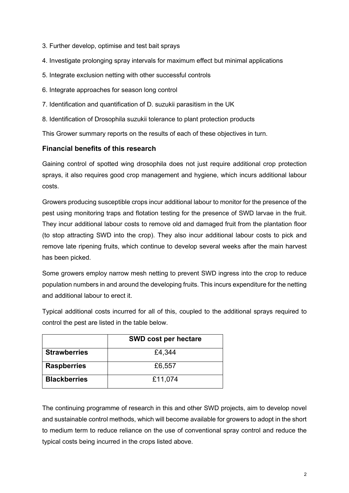- 3. Further develop, optimise and test bait sprays
- 4. Investigate prolonging spray intervals for maximum effect but minimal applications
- 5. Integrate exclusion netting with other successful controls
- 6. Integrate approaches for season long control
- 7. Identification and quantification of D. suzukii parasitism in the UK
- 8. Identification of Drosophila suzukii tolerance to plant protection products

This Grower summary reports on the results of each of these objectives in turn.

#### **Financial benefits of this research**

Gaining control of spotted wing drosophila does not just require additional crop protection sprays, it also requires good crop management and hygiene, which incurs additional labour costs.

Growers producing susceptible crops incur additional labour to monitor for the presence of the pest using monitoring traps and flotation testing for the presence of SWD larvae in the fruit. They incur additional labour costs to remove old and damaged fruit from the plantation floor (to stop attracting SWD into the crop). They also incur additional labour costs to pick and remove late ripening fruits, which continue to develop several weeks after the main harvest has been picked.

Some growers employ narrow mesh netting to prevent SWD ingress into the crop to reduce population numbers in and around the developing fruits. This incurs expenditure for the netting and additional labour to erect it.

Typical additional costs incurred for all of this, coupled to the additional sprays required to control the pest are listed in the table below.

|                     | <b>SWD cost per hectare</b> |
|---------------------|-----------------------------|
| <b>Strawberries</b> | £4,344                      |
| <b>Raspberries</b>  | £6,557                      |
| <b>Blackberries</b> | £11,074                     |

The continuing programme of research in this and other SWD projects, aim to develop novel and sustainable control methods, which will become available for growers to adopt in the short to medium term to reduce reliance on the use of conventional spray control and reduce the typical costs being incurred in the crops listed above.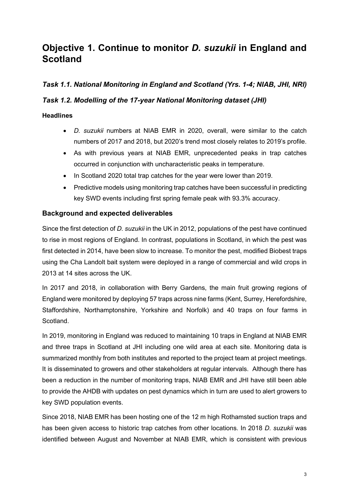## **Objective 1. Continue to monitor** *D. suzukii* **in England and Scotland**

#### *Task 1.1. National Monitoring in England and Scotland (Yrs. 1-4; NIAB, JHI, NRI)*

#### *Task 1.2. Modelling of the 17-year National Monitoring dataset (JHI)*

#### **Headlines**

- *D. suzukii* numbers at NIAB EMR in 2020, overall, were similar to the catch numbers of 2017 and 2018, but 2020's trend most closely relates to 2019's profile.
- As with previous years at NIAB EMR, unprecedented peaks in trap catches occurred in conjunction with uncharacteristic peaks in temperature.
- In Scotland 2020 total trap catches for the year were lower than 2019.
- Predictive models using monitoring trap catches have been successful in predicting key SWD events including first spring female peak with 93.3% accuracy.

#### **Background and expected deliverables**

Since the first detection of *D. suzukii* in the UK in 2012, populations of the pest have continued to rise in most regions of England. In contrast, populations in Scotland, in which the pest was first detected in 2014, have been slow to increase. To monitor the pest, modified Biobest traps using the Cha Landolt bait system were deployed in a range of commercial and wild crops in 2013 at 14 sites across the UK.

In 2017 and 2018, in collaboration with Berry Gardens, the main fruit growing regions of England were monitored by deploying 57 traps across nine farms (Kent, Surrey, Herefordshire, Staffordshire, Northamptonshire, Yorkshire and Norfolk) and 40 traps on four farms in Scotland.

In 2019, monitoring in England was reduced to maintaining 10 traps in England at NIAB EMR and three traps in Scotland at JHI including one wild area at each site. Monitoring data is summarized monthly from both institutes and reported to the project team at project meetings. It is disseminated to growers and other stakeholders at regular intervals. Although there has been a reduction in the number of monitoring traps, NIAB EMR and JHI have still been able to provide the AHDB with updates on pest dynamics which in turn are used to alert growers to key SWD population events.

Since 2018, NIAB EMR has been hosting one of the 12 m high Rothamsted suction traps and has been given access to historic trap catches from other locations. In 2018 *D. suzukii* was identified between August and November at NIAB EMR, which is consistent with previous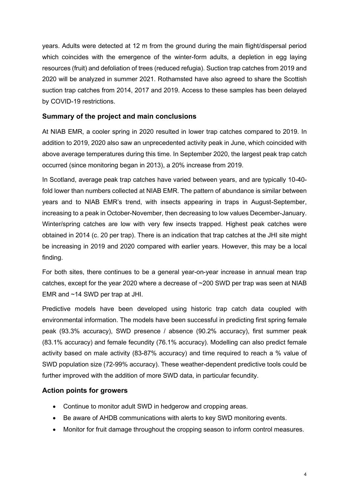years. Adults were detected at 12 m from the ground during the main flight/dispersal period which coincides with the emergence of the winter-form adults, a depletion in egg laying resources (fruit) and defoliation of trees (reduced refugia). Suction trap catches from 2019 and 2020 will be analyzed in summer 2021. Rothamsted have also agreed to share the Scottish suction trap catches from 2014, 2017 and 2019. Access to these samples has been delayed by COVID-19 restrictions.

#### **Summary of the project and main conclusions**

At NIAB EMR, a cooler spring in 2020 resulted in lower trap catches compared to 2019. In addition to 2019, 2020 also saw an unprecedented activity peak in June, which coincided with above average temperatures during this time. In September 2020, the largest peak trap catch occurred (since monitoring began in 2013), a 20% increase from 2019.

In Scotland, average peak trap catches have varied between years, and are typically 10-40 fold lower than numbers collected at NIAB EMR. The pattern of abundance is similar between years and to NIAB EMR's trend, with insects appearing in traps in August-September, increasing to a peak in October-November, then decreasing to low values December-January. Winter/spring catches are low with very few insects trapped. Highest peak catches were obtained in 2014 (c. 20 per trap). There is an indication that trap catches at the JHI site might be increasing in 2019 and 2020 compared with earlier years. However, this may be a local finding.

For both sites, there continues to be a general year-on-year increase in annual mean trap catches, except for the year 2020 where a decrease of ~200 SWD per trap was seen at NIAB EMR and ~14 SWD per trap at JHI.

Predictive models have been developed using historic trap catch data coupled with environmental information. The models have been successful in predicting first spring female peak (93.3% accuracy), SWD presence / absence (90.2% accuracy), first summer peak (83.1% accuracy) and female fecundity (76.1% accuracy). Modelling can also predict female activity based on male activity (83-87% accuracy) and time required to reach a % value of SWD population size (72-99% accuracy). These weather-dependent predictive tools could be further improved with the addition of more SWD data, in particular fecundity.

#### **Action points for growers**

- Continue to monitor adult SWD in hedgerow and cropping areas.
- Be aware of AHDB communications with alerts to key SWD monitoring events.
- Monitor for fruit damage throughout the cropping season to inform control measures.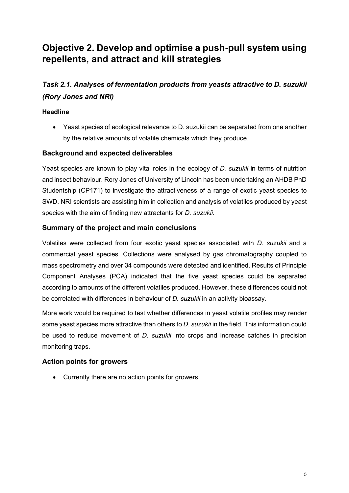## **Objective 2. Develop and optimise a push-pull system using repellents, and attract and kill strategies**

## *Task 2.1. Analyses of fermentation products from yeasts attractive to D. suzukii (Rory Jones and NRI)*

#### **Headline**

• Yeast species of ecological relevance to D. suzukii can be separated from one another by the relative amounts of volatile chemicals which they produce.

#### **Background and expected deliverables**

Yeast species are known to play vital roles in the ecology of *D. suzukii* in terms of nutrition and insect behaviour. Rory Jones of University of Lincoln has been undertaking an AHDB PhD Studentship (CP171) to investigate the attractiveness of a range of exotic yeast species to SWD. NRI scientists are assisting him in collection and analysis of volatiles produced by yeast species with the aim of finding new attractants for *D. suzukii*.

#### **Summary of the project and main conclusions**

Volatiles were collected from four exotic yeast species associated with *D. suzukii* and a commercial yeast species*.* Collections were analysed by gas chromatography coupled to mass spectrometry and over 34 compounds were detected and identified. Results of Principle Component Analyses (PCA) indicated that the five yeast species could be separated according to amounts of the different volatiles produced. However, these differences could not be correlated with differences in behaviour of *D. suzukii* in an activity bioassay.

More work would be required to test whether differences in yeast volatile profiles may render some yeast species more attractive than others to *D. suzukii* in the field. This information could be used to reduce movement of *D. suzukii* into crops and increase catches in precision monitoring traps.

#### **Action points for growers**

• Currently there are no action points for growers.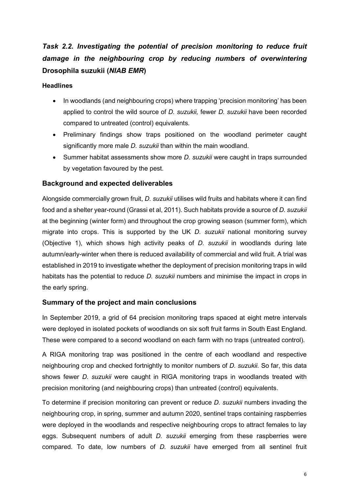## Task 2.2. Investigating the potential of precision monitoring to reduce fruit *damage in the neighbouring crop by reducing numbers of overwintering*  **Drosophila suzukii (***NIAB EMR***)**

#### **Headlines**

- In woodlands (and neighbouring crops) where trapping 'precision monitoring' has been applied to control the wild source of *D. suzukii,* fewer *D. suzukii* have been recorded compared to untreated (control) equivalents.
- Preliminary findings show traps positioned on the woodland perimeter caught significantly more male *D. suzukii* than within the main woodland.
- Summer habitat assessments show more *D. suzukii* were caught in traps surrounded by vegetation favoured by the pest.

#### **Background and expected deliverables**

Alongside commercially grown fruit, *D. suzukii* utilises wild fruits and habitats where it can find food and a shelter year-round (Grassi et al, 2011). Such habitats provide a source of *D. suzukii* at the beginning (winter form) and throughout the crop growing season (summer form), which migrate into crops. This is supported by the UK *D. suzukii* national monitoring survey (Objective 1), which shows high activity peaks of *D. suzukii* in woodlands during late autumn/early-winter when there is reduced availability of commercial and wild fruit. A trial was established in 2019 to investigate whether the deployment of precision monitoring traps in wild habitats has the potential to reduce *D. suzukii* numbers and minimise the impact in crops in the early spring.

#### **Summary of the project and main conclusions**

In September 2019, a grid of 64 precision monitoring traps spaced at eight metre intervals were deployed in isolated pockets of woodlands on six soft fruit farms in South East England. These were compared to a second woodland on each farm with no traps (untreated control).

A RIGA monitoring trap was positioned in the centre of each woodland and respective neighbouring crop and checked fortnightly to monitor numbers of *D. suzukii.* So far, this data shows fewer *D. suzukii* were caught in RIGA monitoring traps in woodlands treated with precision monitoring (and neighbouring crops) than untreated (control) equivalents.

To determine if precision monitoring can prevent or reduce *D. suzukii* numbers invading the neighbouring crop, in spring, summer and autumn 2020, sentinel traps containing raspberries were deployed in the woodlands and respective neighbouring crops to attract females to lay eggs. Subsequent numbers of adult *D. suzukii* emerging from these raspberries were compared. To date, low numbers of *D. suzukii* have emerged from all sentinel fruit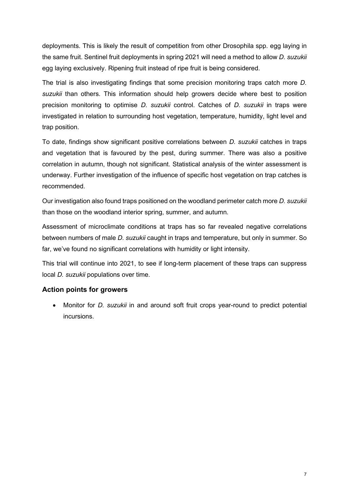deployments. This is likely the result of competition from other Drosophila spp. egg laying in the same fruit. Sentinel fruit deployments in spring 2021 will need a method to allow *D. suzukii* egg laying exclusively. Ripening fruit instead of ripe fruit is being considered.

The trial is also investigating findings that some precision monitoring traps catch more *D. suzukii* than others. This information should help growers decide where best to position precision monitoring to optimise *D. suzukii* control. Catches of *D. suzukii* in traps were investigated in relation to surrounding host vegetation, temperature, humidity, light level and trap position.

To date, findings show significant positive correlations between *D. suzukii* catches in traps and vegetation that is favoured by the pest, during summer. There was also a positive correlation in autumn, though not significant. Statistical analysis of the winter assessment is underway. Further investigation of the influence of specific host vegetation on trap catches is recommended.

Our investigation also found traps positioned on the woodland perimeter catch more *D. suzukii* than those on the woodland interior spring, summer, and autumn*.* 

Assessment of microclimate conditions at traps has so far revealed negative correlations between numbers of male *D. suzukii* caught in traps and temperature, but only in summer. So far, we've found no significant correlations with humidity or light intensity.

This trial will continue into 2021, to see if long-term placement of these traps can suppress local *D. suzukii* populations over time.

#### **Action points for growers**

• Monitor for *D. suzukii* in and around soft fruit crops year-round to predict potential incursions.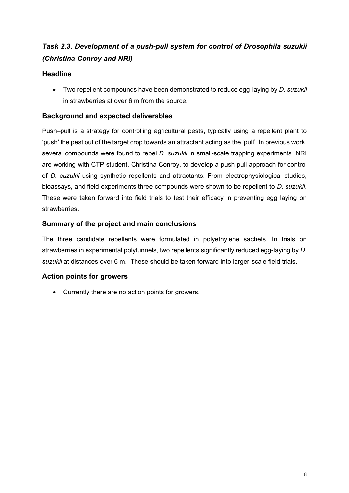## *Task 2.3. Development of a push-pull system for control of Drosophila suzukii (Christina Conroy and NRI)*

#### **Headline**

• Two repellent compounds have been demonstrated to reduce egg-laying by *D. suzukii* in strawberries at over 6 m from the source.

#### **Background and expected deliverables**

Push–pull is a strategy for controlling agricultural pests, typically using a repellent plant to 'push' the pest out of the target crop towards an attractant acting as the 'pull'. In previous work, several compounds were found to repel *D. suzukii* in small-scale trapping experiments. NRI are working with CTP student, Christina Conroy, to develop a push-pull approach for control of *D. suzukii* using synthetic repellents and attractants. From electrophysiological studies, bioassays, and field experiments three compounds were shown to be repellent to *D. suzukii*. These were taken forward into field trials to test their efficacy in preventing egg laying on strawberries.

#### **Summary of the project and main conclusions**

The three candidate repellents were formulated in polyethylene sachets. In trials on strawberries in experimental polytunnels, two repellents significantly reduced egg-laying by *D. suzukii* at distances over 6 m. These should be taken forward into larger-scale field trials.

#### **Action points for growers**

• Currently there are no action points for growers.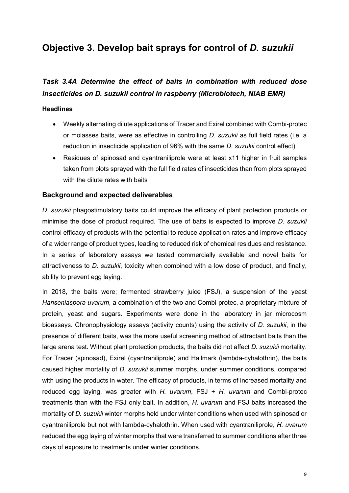## **Objective 3. Develop bait sprays for control of** *D. suzukii*

### *Task 3.4A Determine the effect of baits in combination with reduced dose insecticides on D. suzukii control in raspberry (Microbiotech, NIAB EMR)*

#### **Headlines**

- Weekly alternating dilute applications of Tracer and Exirel combined with Combi-protec or molasses baits, were as effective in controlling *D. suzukii* as full field rates (i.e. a reduction in insecticide application of 96% with the same *D. suzukii* control effect)
- Residues of spinosad and cyantraniliprole were at least x11 higher in fruit samples taken from plots sprayed with the full field rates of insecticides than from plots sprayed with the dilute rates with baits

#### **Background and expected deliverables**

*D. suzukii* phagostimulatory baits could improve the efficacy of plant protection products or minimise the dose of product required. The use of baits is expected to improve *D. suzukii* control efficacy of products with the potential to reduce application rates and improve efficacy of a wider range of product types, leading to reduced risk of chemical residues and resistance. In a series of laboratory assays we tested commercially available and novel baits for attractiveness to *D. suzukii*, toxicity when combined with a low dose of product, and finally, ability to prevent egg laying.

In 2018, the baits were; fermented strawberry juice (FSJ), a suspension of the yeast *Hanseniaspora uvarum*, a combination of the two and Combi-protec, a proprietary mixture of protein, yeast and sugars. Experiments were done in the laboratory in jar microcosm bioassays. Chronophysiology assays (activity counts) using the activity of *D. suzukii*, in the presence of different baits, was the more useful screening method of attractant baits than the large arena test. Without plant protection products, the baits did not affect *D. suzukii* mortality. For Tracer (spinosad), Exirel (cyantraniliprole) and Hallmark (lambda-cyhalothrin), the baits caused higher mortality of *D. suzukii* summer morphs, under summer conditions, compared with using the products in water. The efficacy of products, in terms of increased mortality and reduced egg laying, was greater with *H. uvarum*, FSJ + *H. uvarum* and Combi-protec treatments than with the FSJ only bait. In addition, *H. uvarum* and FSJ baits increased the mortality of *D. suzukii* winter morphs held under winter conditions when used with spinosad or cyantraniliprole but not with lambda-cyhalothrin. When used with cyantraniliprole, *H. uvarum* reduced the egg laying of winter morphs that were transferred to summer conditions after three days of exposure to treatments under winter conditions.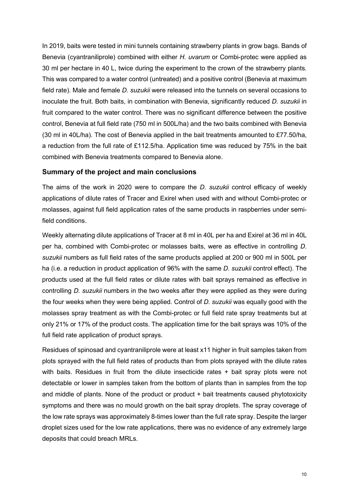In 2019, baits were tested in mini tunnels containing strawberry plants in grow bags. Bands of Benevia (cyantraniliprole) combined with either *H. uvarum* or Combi-protec were applied as 30 ml per hectare in 40 L, twice during the experiment to the crown of the strawberry plants. This was compared to a water control (untreated) and a positive control (Benevia at maximum field rate). Male and female *D. suzukii* were released into the tunnels on several occasions to inoculate the fruit. Both baits, in combination with Benevia, significantly reduced *D. suzukii* in fruit compared to the water control. There was no significant difference between the positive control, Benevia at full field rate (750 ml in 500L/ha) and the two baits combined with Benevia (30 ml in 40L/ha). The cost of Benevia applied in the bait treatments amounted to £77.50/ha, a reduction from the full rate of £112.5/ha. Application time was reduced by 75% in the bait combined with Benevia treatments compared to Benevia alone.

#### **Summary of the project and main conclusions**

The aims of the work in 2020 were to compare the *D. suzukii* control efficacy of weekly applications of dilute rates of Tracer and Exirel when used with and without Combi-protec or molasses, against full field application rates of the same products in raspberries under semifield conditions.

Weekly alternating dilute applications of Tracer at 8 ml in 40L per ha and Exirel at 36 ml in 40L per ha, combined with Combi-protec or molasses baits, were as effective in controlling *D. suzukii* numbers as full field rates of the same products applied at 200 or 900 ml in 500L per ha (i.e. a reduction in product application of 96% with the same *D. suzukii* control effect). The products used at the full field rates or dilute rates with bait sprays remained as effective in controlling *D. suzukii* numbers in the two weeks after they were applied as they were during the four weeks when they were being applied. Control of *D. suzukii* was equally good with the molasses spray treatment as with the Combi-protec or full field rate spray treatments but at only 21% or 17% of the product costs. The application time for the bait sprays was 10% of the full field rate application of product sprays.

Residues of spinosad and cyantraniliprole were at least x11 higher in fruit samples taken from plots sprayed with the full field rates of products than from plots sprayed with the dilute rates with baits. Residues in fruit from the dilute insecticide rates + bait spray plots were not detectable or lower in samples taken from the bottom of plants than in samples from the top and middle of plants. None of the product or product + bait treatments caused phytotoxicity symptoms and there was no mould growth on the bait spray droplets. The spray coverage of the low rate sprays was approximately 8-times lower than the full rate spray. Despite the larger droplet sizes used for the low rate applications, there was no evidence of any extremely large deposits that could breach MRLs.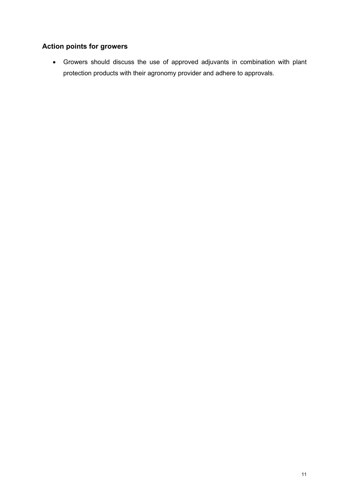### **Action points for growers**

• Growers should discuss the use of approved adjuvants in combination with plant protection products with their agronomy provider and adhere to approvals.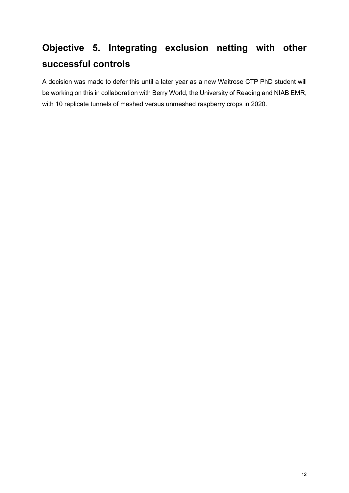## **Objective 5. Integrating exclusion netting with other successful controls**

A decision was made to defer this until a later year as a new Waitrose CTP PhD student will be working on this in collaboration with Berry World, the University of Reading and NIAB EMR, with 10 replicate tunnels of meshed versus unmeshed raspberry crops in 2020.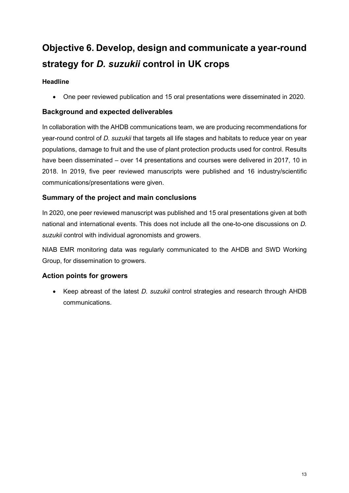## **Objective 6. Develop, design and communicate a year-round strategy for** *D. suzukii* **control in UK crops**

#### **Headline**

• One peer reviewed publication and 15 oral presentations were disseminated in 2020.

#### **Background and expected deliverables**

In collaboration with the AHDB communications team, we are producing recommendations for year-round control of *D. suzukii* that targets all life stages and habitats to reduce year on year populations, damage to fruit and the use of plant protection products used for control. Results have been disseminated – over 14 presentations and courses were delivered in 2017, 10 in 2018. In 2019, five peer reviewed manuscripts were published and 16 industry/scientific communications/presentations were given.

#### **Summary of the project and main conclusions**

In 2020, one peer reviewed manuscript was published and 15 oral presentations given at both national and international events. This does not include all the one-to-one discussions on *D. suzukii* control with individual agronomists and growers.

NIAB EMR monitoring data was regularly communicated to the AHDB and SWD Working Group, for dissemination to growers.

#### **Action points for growers**

• Keep abreast of the latest *D. suzukii* control strategies and research through AHDB communications.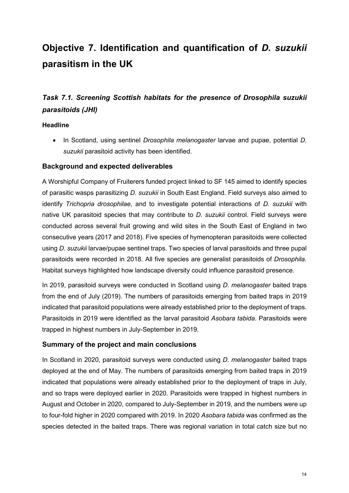## **Objective 7. Identification and quantification of** *D. suzukii* **parasitism in the UK**

## *Task 7.1. Screening Scottish habitats for the presence of Drosophila suzukii parasitoids (JHI)*

#### **Headline**

• In Scotland, using sentinel *Drosophila melanogaster* larvae and pupae, potential *D. suzukii* parasitoid activity has been identified.

#### **Background and expected deliverables**

A Worshipful Company of Fruiterers funded project linked to SF 145 aimed to identify species of parasitic wasps parasitizing *D. suzukii* in South East England. Field surveys also aimed to identify *Trichopria drosophilae*, and to investigate potential interactions of *D. suzukii* with native UK parasitoid species that may contribute to *D. suzukii* control. Field surveys were conducted across several fruit growing and wild sites in the South East of England in two consecutive years (2017 and 2018). Five species of hymenopteran parasitoids were collected using *D. suzukii* larvae/pupae sentinel traps. Two species of larval parasitoids and three pupal parasitoids were recorded in 2018. All five species are generalist parasitoids of *Drosophila.*  Habitat surveys highlighted how landscape diversity could influence parasitoid presence.

In 2019, parasitoid surveys were conducted in Scotland using *D. melanogaster* baited traps from the end of July (2019). The numbers of parasitoids emerging from baited traps in 2019 indicated that parasitoid populations were already established prior to the deployment of traps. Parasitoids in 2019 were identified as the larval parasitoid *Asobara tabida*. Parasitoids were trapped in highest numbers in July-September in 2019.

#### **Summary of the project and main conclusions**

In Scotland in 2020, parasitoid surveys were conducted using *D. melanogaster* baited traps deployed at the end of May. The numbers of parasitoids emerging from baited traps in 2019 indicated that populations were already established prior to the deployment of traps in July, and so traps were deployed earlier in 2020. Parasitoids were trapped in highest numbers in August and October in 2020, compared to July-September in 2019, and the numbers were up to four-fold higher in 2020 compared with 2019. In 2020 *Asobara tabida* was confirmed as the species detected in the baited traps. There was regional variation in total catch size but no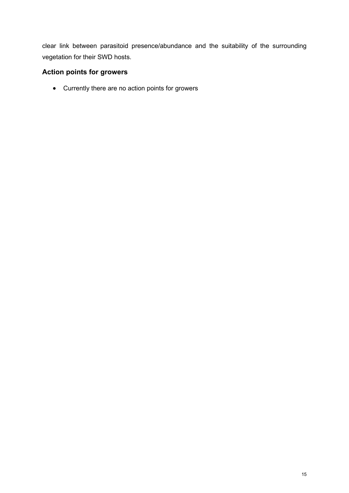clear link between parasitoid presence/abundance and the suitability of the surrounding vegetation for their SWD hosts.

#### **Action points for growers**

• Currently there are no action points for growers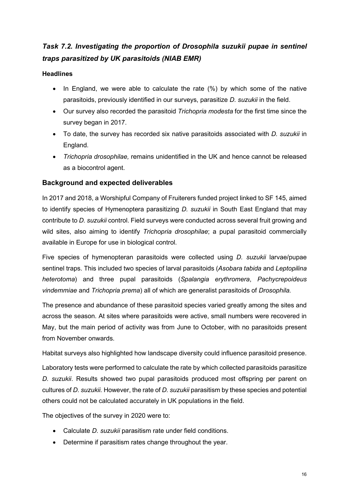## **Task 7.2. Investigating the proportion of Drosophila suzukii pupae in sentinel** *traps parasitized by UK parasitoids (NIAB EMR)*

#### **Headlines**

- In England, we were able to calculate the rate (%) by which some of the native parasitoids, previously identified in our surveys, parasitize *D. suzukii* in the field.
- Our survey also recorded the parasitoid *Trichopria modesta* for the first time since the survey began in 2017.
- To date, the survey has recorded six native parasitoids associated with *D. suzukii* in England*.*
- *Trichopria drosophilae,* remains unidentified in the UK and hence cannot be released as a biocontrol agent.

#### **Background and expected deliverables**

In 2017 and 2018, a Worshipful Company of Fruiterers funded project linked to SF 145, aimed to identify species of Hymenoptera parasitizing *D. suzukii* in South East England that may contribute to *D. suzukii* control. Field surveys were conducted across several fruit growing and wild sites, also aiming to identify *Trichopria drosophilae*; a pupal parasitoid commercially available in Europe for use in biological control.

Five species of hymenopteran parasitoids were collected using *D. suzukii* larvae/pupae sentinel traps. This included two species of larval parasitoids (*Asobara tabida* and *Leptopilina heterotoma*) and three pupal parasitoids (*Spalangia erythromera*, *Pachycrepoideus vindemmiae* and *Trichopria prema*) all of which are generalist parasitoids of *Drosophila.* 

The presence and abundance of these parasitoid species varied greatly among the sites and across the season. At sites where parasitoids were active, small numbers were recovered in May, but the main period of activity was from June to October, with no parasitoids present from November onwards.

Habitat surveys also highlighted how landscape diversity could influence parasitoid presence.

Laboratory tests were performed to calculate the rate by which collected parasitoids parasitize *D. suzukii*. Results showed two pupal parasitoids produced most offspring per parent on cultures of *D. suzukii.* However, the rate of *D. suzukii* parasitism by these species and potential others could not be calculated accurately in UK populations in the field.

The objectives of the survey in 2020 were to:

- Calculate *D. suzukii* parasitism rate under field conditions.
- Determine if parasitism rates change throughout the year.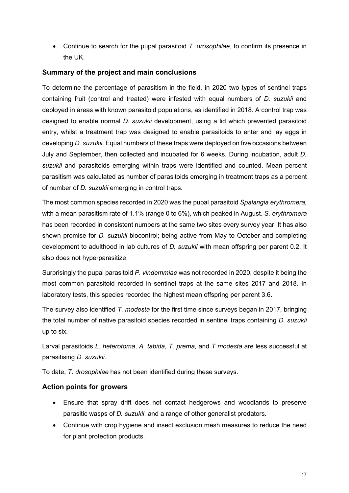• Continue to search for the pupal parasitoid *T. drosophilae*, to confirm its presence in the UK.

#### **Summary of the project and main conclusions**

To determine the percentage of parasitism in the field, in 2020 two types of sentinel traps containing fruit (control and treated) were infested with equal numbers of *D. suzukii* and deployed in areas with known parasitoid populations, as identified in 2018. A control trap was designed to enable normal *D. suzukii* development, using a lid which prevented parasitoid entry, whilst a treatment trap was designed to enable parasitoids to enter and lay eggs in developing *D. suzukii*. Equal numbers of these traps were deployed on five occasions between July and September, then collected and incubated for 6 weeks. During incubation, adult *D. suzukii* and parasitoids emerging within traps were identified and counted. Mean percent parasitism was calculated as number of parasitoids emerging in treatment traps as a percent of number of *D. suzukii* emerging in control traps.

The most common species recorded in 2020 was the pupal parasitoid *Spalangia erythromera,*  with a mean parasitism rate of 1.1% (range 0 to 6%), which peaked in August. *S. erythromera*  has been recorded in consistent numbers at the same two sites every survey year. It has also shown promise for *D. suzukii* biocontrol; being active from May to October and completing development to adulthood in lab cultures of *D. suzukii* with mean offspring per parent 0.2. It also does not hyperparasitize.

Surprisingly the pupal parasitoid *P. vindemmiae* was not recorded in 2020, despite it being the most common parasitoid recorded in sentinel traps at the same sites 2017 and 2018. In laboratory tests, this species recorded the highest mean offspring per parent 3.6.

The survey also identified *T. modesta* for the first time since surveys began in 2017, bringing the total number of native parasitoid species recorded in sentinel traps containing *D. suzukii* up to six*.*

Larval parasitoids *L. heterotoma*, *A. tabida*, *T. prema,* and *T modesta* are less successful at parasitising *D. suzukii*.

To date, *T. drosophilae* has not been identified during these surveys.

#### **Action points for growers**

- Ensure that spray drift does not contact hedgerows and woodlands to preserve parasitic wasps of *D. suzukii*; and a range of other generalist predators.
- Continue with crop hygiene and insect exclusion mesh measures to reduce the need for plant protection products.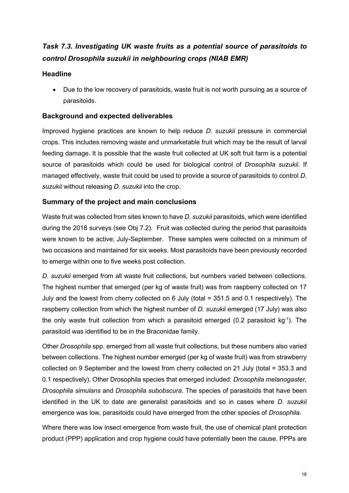## *Task 7.3. Investigating UK waste fruits as a potential source of parasitoids to control Drosophila suzukii in neighbouring crops (NIAB EMR)*

#### **Headline**

• Due to the low recovery of parasitoids, waste fruit is not worth pursuing as a source of parasitoids.

#### **Background and expected deliverables**

Improved hygiene practices are known to help reduce *D. suzukii* pressure in commercial crops. This includes removing waste and unmarketable fruit which may be the result of larval feeding damage. It is possible that the waste fruit collected at UK soft fruit farm is a potential source of parasitoids which could be used for biological control of *Drosophila suzukii.* If managed effectively, waste fruit could be used to provide a source of parasitoids to control *D. suzukii* without releasing *D. suzukii* into the crop.

#### **Summary of the project and main conclusions**

Waste fruit was collected from sites known to have *D. suzukii* parasitoids, which were identified during the 2018 surveys (see Obj 7.2). Fruit was collected during the period that parasitoids were known to be active; July-September. These samples were collected on a minimum of two occasions and maintained for six weeks. Most parasitoids have been previously recorded to emerge within one to five weeks post collection.

*D. suzukii* emerged from all waste fruit collections, but numbers varied between collections. The highest number that emerged (per kg of waste fruit) was from raspberry collected on 17 July and the lowest from cherry collected on 6 July (total = 351.5 and 0.1 respectively). The raspberry collection from which the highest number of *D. suzukii* emerged (17 July) was also the only waste fruit collection from which a parasitoid emerged  $(0.2$  parasitoid kg<sup>-1</sup>). The parasitoid was identified to be in the Braconidae family.

Other *Drosophila* spp. emerged from all waste fruit collections, but these numbers also varied between collections. The highest number emerged (per kg of waste fruit) was from strawberry collected on 9 September and the lowest from cherry collected on 21 July (total = 353.3 and 0.1 respectively). Other Drosophila species that emerged included: *Drosophila melanogaster, Drosophila simulans* and *Drosophila subobscura*. The species of parasitoids that have been identified in the UK to date are generalist parasitoids and so in cases where *D. suzukii*  emergence was low, parasitoids could have emerged from the other species of *Drosophila.*

Where there was low insect emergence from waste fruit, the use of chemical plant protection product (PPP) application and crop hygiene could have potentially been the cause. PPPs are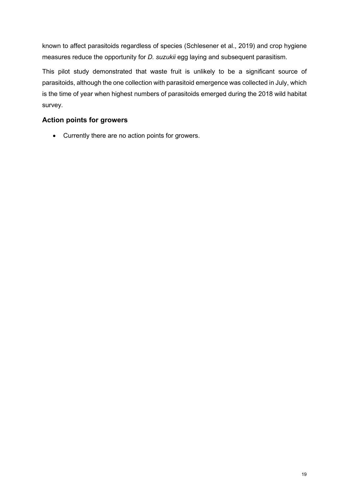known to affect parasitoids regardless of species (Schlesener et al., 2019) and crop hygiene measures reduce the opportunity for *D. suzukii* egg laying and subsequent parasitism.

This pilot study demonstrated that waste fruit is unlikely to be a significant source of parasitoids, although the one collection with parasitoid emergence was collected in July, which is the time of year when highest numbers of parasitoids emerged during the 2018 wild habitat survey.

#### **Action points for growers**

• Currently there are no action points for growers.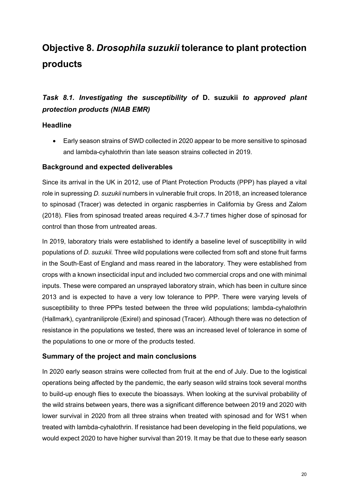## **Objective 8.** *Drosophila suzukii* **tolerance to plant protection products**

### *Task 8.1. Investigating the susceptibility of* **D. suzukii** *to approved plant protection products (NIAB EMR)*

#### **Headline**

• Early season strains of SWD collected in 2020 appear to be more sensitive to spinosad and lambda-cyhalothrin than late season strains collected in 2019.

#### **Background and expected deliverables**

Since its arrival in the UK in 2012, use of Plant Protection Products (PPP) has played a vital role in supressing *D. suzukii* numbers in vulnerable fruit crops. In 2018, an increased tolerance to spinosad (Tracer) was detected in organic raspberries in California by Gress and Zalom (2018). Flies from spinosad treated areas required 4.3-7.7 times higher dose of spinosad for control than those from untreated areas.

In 2019, laboratory trials were established to identify a baseline level of susceptibility in wild populations of *D. suzukii.* Three wild populations were collected from soft and stone fruit farms in the South-East of England and mass reared in the laboratory. They were established from crops with a known insecticidal input and included two commercial crops and one with minimal inputs. These were compared an unsprayed laboratory strain, which has been in culture since 2013 and is expected to have a very low tolerance to PPP. There were varying levels of susceptibility to three PPPs tested between the three wild populations; lambda-cyhalothrin (Hallmark), cyantraniliprole (Exirel) and spinosad (Tracer). Although there was no detection of resistance in the populations we tested, there was an increased level of tolerance in some of the populations to one or more of the products tested.

#### **Summary of the project and main conclusions**

In 2020 early season strains were collected from fruit at the end of July. Due to the logistical operations being affected by the pandemic, the early season wild strains took several months to build-up enough flies to execute the bioassays. When looking at the survival probability of the wild strains between years, there was a significant difference between 2019 and 2020 with lower survival in 2020 from all three strains when treated with spinosad and for WS1 when treated with lambda-cyhalothrin. If resistance had been developing in the field populations, we would expect 2020 to have higher survival than 2019. It may be that due to these early season